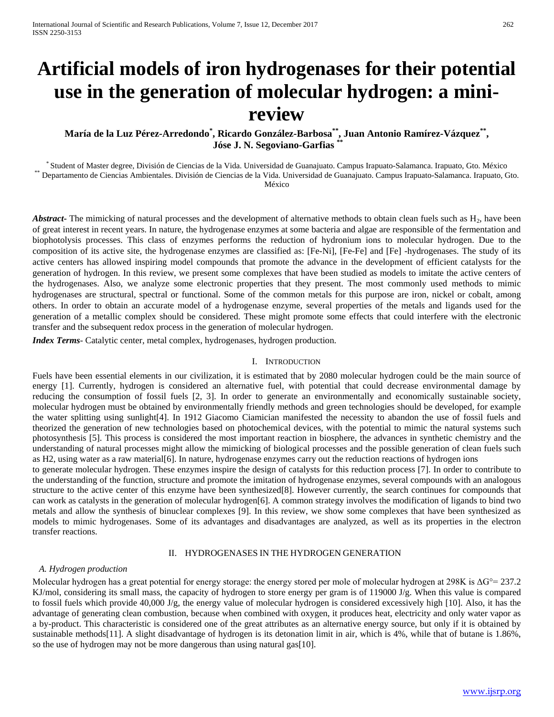# **Artificial models of iron hydrogenases for their potential use in the generation of molecular hydrogen: a minireview**

**María de la Luz Pérez-Arredondo\* , Ricardo González-Barbosa\*\*, Juan Antonio Ramírez-Vázquez\*\*, Jóse J. N. Segoviano-Garfias \*\***

\* Student of Master degree, División de Ciencias de la Vida. Universidad de Guanajuato. Campus Irapuato-Salamanca. Irapuato, Gto. México \*\*\* Departamento de Ciencias Ambientales. División de Ciencias de la Vida. Universida México

*Abstract*- The mimicking of natural processes and the development of alternative methods to obtain clean fuels such as H<sub>2</sub>, have been of great interest in recent years. In nature, the hydrogenase enzymes at some bacteria and algae are responsible of the fermentation and biophotolysis processes. This class of enzymes performs the reduction of hydronium ions to molecular hydrogen. Due to the composition of its active site, the hydrogenase enzymes are classified as: [Fe-Ni], [Fe-Fe] and [Fe] -hydrogenases. The study of its active centers has allowed inspiring model compounds that promote the advance in the development of efficient catalysts for the generation of hydrogen. In this review, we present some complexes that have been studied as models to imitate the active centers of the hydrogenases. Also, we analyze some electronic properties that they present. The most commonly used methods to mimic hydrogenases are structural, spectral or functional. Some of the common metals for this purpose are iron, nickel or cobalt, among others. In order to obtain an accurate model of a hydrogenase enzyme, several properties of the metals and ligands used for the generation of a metallic complex should be considered. These might promote some effects that could interfere with the electronic transfer and the subsequent redox process in the generation of molecular hydrogen.

*Index Terms*- Catalytic center, metal complex, hydrogenases, hydrogen production.

## I. INTRODUCTION

Fuels have been essential elements in our civilization, it is estimated that by 2080 molecular hydrogen could be the main source of energy [1]. Currently, hydrogen is considered an alternative fuel, with potential that could decrease environmental damage by reducing the consumption of fossil fuels [2, 3]. In order to generate an environmentally and economically sustainable society, molecular hydrogen must be obtained by environmentally friendly methods and green technologies should be developed, for example the water splitting using sunlight[4]. In 1912 Giacomo Ciamician manifested the necessity to abandon the use of fossil fuels and theorized the generation of new technologies based on photochemical devices, with the potential to mimic the natural systems such photosynthesis [5]. This process is considered the most important reaction in biosphere, the advances in synthetic chemistry and the understanding of natural processes might allow the mimicking of biological processes and the possible generation of clean fuels such as H2, using water as a raw material[6]. In nature, hydrogenase enzymes carry out the reduction reactions of hydrogen ions

to generate molecular hydrogen. These enzymes inspire the design of catalysts for this reduction process [7]. In order to contribute to the understanding of the function, structure and promote the imitation of hydrogenase enzymes, several compounds with an analogous structure to the active center of this enzyme have been synthesized[8]. However currently, the search continues for compounds that can work as catalysts in the generation of molecular hydrogen[6]. A common strategy involves the modification of ligands to bind two metals and allow the synthesis of binuclear complexes [9]. In this review, we show some complexes that have been synthesized as models to mimic hydrogenases. Some of its advantages and disadvantages are analyzed, as well as its properties in the electron transfer reactions.

# II. HYDROGENASES IN THE HYDROGEN GENERATION

## *A. Hydrogen production*

Molecular hydrogen has a great potential for energy storage: the energy stored per mole of molecular hydrogen at 298K is  $\Delta G^{\circ} = 237.2$ KJ/mol, considering its small mass, the capacity of hydrogen to store energy per gram is of 119000 J/g. When this value is compared to fossil fuels which provide 40,000 J/g, the energy value of molecular hydrogen is considered excessively high [10]. Also, it has the advantage of generating clean combustion, because when combined with oxygen, it produces heat, electricity and only water vapor as a by-product. This characteristic is considered one of the great attributes as an alternative energy source, but only if it is obtained by sustainable methods[11]. A slight disadvantage of hydrogen is its detonation limit in air, which is 4%, while that of butane is 1.86%, so the use of hydrogen may not be more dangerous than using natural gas[10].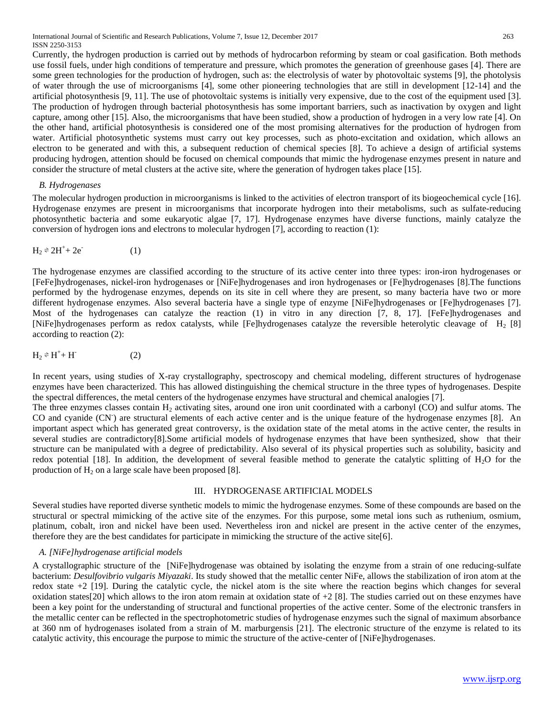International Journal of Scientific and Research Publications, Volume 7, Issue 12, December 2017 263 ISSN 2250-3153

Currently, the hydrogen production is carried out by methods of hydrocarbon reforming by steam or coal gasification. Both methods use fossil fuels, under high conditions of temperature and pressure, which promotes the generation of greenhouse gases [4]. There are some green technologies for the production of hydrogen, such as: the electrolysis of water by photovoltaic systems [9], the photolysis of water through the use of microorganisms [4], some other pioneering technologies that are still in development [12-14] and the artificial photosynthesis [9, 11]. The use of photovoltaic systems is initially very expensive, due to the cost of the equipment used [3]. The production of hydrogen through bacterial photosynthesis has some important barriers, such as inactivation by oxygen and light capture, among other [15]. Also, the microorganisms that have been studied, show a production of hydrogen in a very low rate [4]. On the other hand, artificial photosynthesis is considered one of the most promising alternatives for the production of hydrogen from water. Artificial photosynthetic systems must carry out key processes, such as photo-excitation and oxidation, which allows an electron to be generated and with this, a subsequent reduction of chemical species [8]. To achieve a design of artificial systems producing hydrogen, attention should be focused on chemical compounds that mimic the hydrogenase enzymes present in nature and consider the structure of metal clusters at the active site, where the generation of hydrogen takes place [15].

### *B. Hydrogenases*

The molecular hydrogen production in microorganisms is linked to the activities of electron transport of its biogeochemical cycle [16]. Hydrogenase enzymes are present in microorganisms that incorporate hydrogen into their metabolisms, such as sulfate-reducing photosynthetic bacteria and some eukaryotic algae [7, 17]. Hydrogenase enzymes have diverse functions, mainly catalyze the conversion of hydrogen ions and electrons to molecular hydrogen [7], according to reaction (1):

$$
H_2 \approx 2H^+ + 2e^-
$$
 (1)

The hydrogenase enzymes are classified according to the structure of its active center into three types: iron-iron hydrogenases or [FeFe]hydrogenases, nickel-iron hydrogenases or [NiFe]hydrogenases and iron hydrogenases or [Fe]hydrogenases [8].The functions performed by the hydrogenase enzymes, depends on its site in cell where they are present, so many bacteria have two or more different hydrogenase enzymes. Also several bacteria have a single type of enzyme [NiFe]hydrogenases or [Fe]hydrogenases [7]. Most of the hydrogenases can catalyze the reaction (1) in vitro in any direction [7, 8, 17]. [FeFe]hydrogenases and [NiFe]hydrogenases perform as redox catalysts, while [Fe]hydrogenases catalyze the reversible heterolytic cleavage of H<sub>2</sub> [8] according to reaction (2):

$$
H_2 \stackrel{\sim}{=} H^+ + H^-
$$
 (2)

In recent years, using studies of X-ray crystallography, spectroscopy and chemical modeling, different structures of hydrogenase enzymes have been characterized. This has allowed distinguishing the chemical structure in the three types of hydrogenases. Despite the spectral differences, the metal centers of the hydrogenase enzymes have structural and chemical analogies [7].

The three enzymes classes contain  $H_2$  activating sites, around one iron unit coordinated with a carbonyl (CO) and sulfur atoms. The CO and cyanide (CN<sup>T</sup>) are structural elements of each active center and is the unique feature of the hydrogenase enzymes [8]. An important aspect which has generated great controversy, is the oxidation state of the metal atoms in the active center, the results in several studies are contradictory[8].Some artificial models of hydrogenase enzymes that have been synthesized, show that their structure can be manipulated with a degree of predictability. Also several of its physical properties such as solubility, basicity and redox potential [18]. In addition, the development of several feasible method to generate the catalytic splitting of  $H_2O$  for the production of  $H_2$  on a large scale have been proposed [8].

## III. HYDROGENASE ARTIFICIAL MODELS

Several studies have reported diverse synthetic models to mimic the hydrogenase enzymes. Some of these compounds are based on the structural or spectral mimicking of the active site of the enzymes. For this purpose, some metal ions such as ruthenium, osmium, platinum, cobalt, iron and nickel have been used. Nevertheless iron and nickel are present in the active center of the enzymes, therefore they are the best candidates for participate in mimicking the structure of the active site[6].

# *A. [NiFe]hydrogenase artificial models*

A crystallographic structure of the [NiFe]hydrogenase was obtained by isolating the enzyme from a strain of one reducing-sulfate bacterium: *Desulfovibrio vulgaris Miyazaki*. Its study showed that the metallic center NiFe, allows the stabilization of iron atom at the redox state +2 [19]. During the catalytic cycle, the nickel atom is the site where the reaction begins which changes for several oxidation states[20] which allows to the iron atom remain at oxidation state of  $+2$  [8]. The studies carried out on these enzymes have been a key point for the understanding of structural and functional properties of the active center. Some of the electronic transfers in the metallic center can be reflected in the spectrophotometric studies of hydrogenase enzymes such the signal of maximum absorbance at 360 nm of hydrogenases isolated from a strain of M. marburgensis [21]. The electronic structure of the enzyme is related to its catalytic activity, this encourage the purpose to mimic the structure of the active-center of [NiFe]hydrogenases.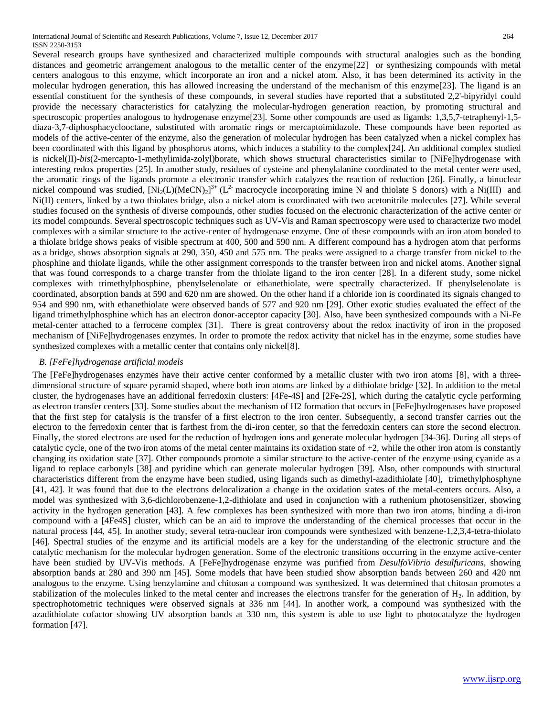Several research groups have synthesized and characterized multiple compounds with structural analogies such as the bonding distances and geometric arrangement analogous to the metallic center of the enzyme[22] or synthesizing compounds with metal centers analogous to this enzyme, which incorporate an iron and a nickel atom. Also, it has been determined its activity in the molecular hydrogen generation, this has allowed increasing the understand of the mechanism of this enzyme[23]. The ligand is an essential constituent for the synthesis of these compounds, in several studies have reported that a substituted 2,2'-bipyridyl could provide the necessary characteristics for catalyzing the molecular-hydrogen generation reaction, by promoting structural and spectroscopic properties analogous to hydrogenase enzyme[23]. Some other compounds are used as ligands: 1,3,5,7-tetraphenyl-1,5diaza-3,7-diphosphacyclooctane, substituted with aromatic rings or mercaptoimidazole. These compounds have been reported as models of the active-center of the enzyme, also the generation of molecular hydrogen has been catalyzed when a nickel complex has been coordinated with this ligand by phosphorus atoms, which induces a stability to the complex[24]. An additional complex studied is nickel(II)-*bis*(2-mercapto-1-methylimida-zolyl)borate, which shows structural characteristics similar to [NiFe]hydrogenase with interesting redox properties [25]. In another study, residues of cysteine and phenylalanine coordinated to the metal center were used, the aromatic rings of the ligands promote a electronic transfer which catalyzes the reaction of reduction [26]. Finally, a binuclear nickel compound was studied,  $[Ni_2(L)(MeCN)_2]^{3+}(L^2)$  macrocycle incorporating imine N and thiolate S donors) with a Ni(III) and Ni(II) centers, linked by a two thiolates bridge, also a nickel atom is coordinated with two acetonitrile molecules [27]. While several studies focused on the synthesis of diverse compounds, other studies focused on the electronic characterization of the active center or its model compounds. Several spectroscopic techniques such as UV-Vis and Raman spectroscopy were used to characterize two model complexes with a similar structure to the active-center of hydrogenase enzyme. One of these compounds with an iron atom bonded to a thiolate bridge shows peaks of visible spectrum at 400, 500 and 590 nm. A different compound has a hydrogen atom that performs as a bridge, shows absorption signals at 290, 350, 450 and 575 nm. The peaks were assigned to a charge transfer from nickel to the phosphine and thiolate ligands, while the other assignment corresponds to the transfer between iron and nickel atoms. Another signal that was found corresponds to a charge transfer from the thiolate ligand to the iron center [28]. In a diferent study, some nickel complexes with trimethylphosphine, phenylselenolate or ethanethiolate, were spectrally characterized. If phenylselenolate is coordinated, absorption bands at 590 and 620 nm are showed. On the other hand if a chloride ion is coordinated its signals changed to 954 and 990 nm, with ethanethiolate were observed bands of 577 and 920 nm [29]. Other exotic studies evaluated the effect of the ligand trimethylphosphine which has an electron donor-acceptor capacity [30]. Also, have been synthesized compounds with a Ni-Fe metal-center attached to a ferrocene complex [31]. There is great controversy about the redox inactivity of iron in the proposed mechanism of [NiFe]hydrogenases enzymes. In order to promote the redox activity that nickel has in the enzyme, some studies have synthesized complexes with a metallic center that contains only nickel[8].

# *B. [FeFe]hydrogenase artificial models*

The [FeFe]hydrogenases enzymes have their active center conformed by a metallic cluster with two iron atoms [8], with a threedimensional structure of square pyramid shaped, where both iron atoms are linked by a dithiolate bridge [32]. In addition to the metal cluster, the hydrogenases have an additional ferredoxin clusters: [4Fe-4S] and [2Fe-2S], which during the catalytic cycle performing as electron transfer centers [33]. Some studies about the mechanism of H2 formation that occurs in [FeFe]hydrogenases have proposed that the first step for catalysis is the transfer of a first electron to the iron center. Subsequently, a second transfer carries out the electron to the ferredoxin center that is farthest from the di-iron center, so that the ferredoxin centers can store the second electron. Finally, the stored electrons are used for the reduction of hydrogen ions and generate molecular hydrogen [34-36]. During all steps of catalytic cycle, one of the two iron atoms of the metal center maintains its oxidation state of +2, while the other iron atom is constantly changing its oxidation state [37]. Other compounds promote a similar structure to the active-center of the enzyme using cyanide as a ligand to replace carbonyls [38] and pyridine which can generate molecular hydrogen [39]. Also, other compounds with structural characteristics different from the enzyme have been studied, using ligands such as dimethyl-azadithiolate [40], trimethylphosphyne [41, 42]. It was found that due to the electrons delocalization a change in the oxidation states of the metal-centers occurs. Also, a model was synthesized with 3,6-dichlorobenzene-1,2-dithiolate and used in conjunction with a ruthenium photosensitizer, showing activity in the hydrogen generation [43]. A few complexes has been synthesized with more than two iron atoms, binding a di-iron compound with a [4Fe4S] cluster, which can be an aid to improve the understanding of the chemical processes that occur in the natural process [44, 45]. In another study, several tetra-nuclear iron compounds were synthesized with benzene-1,2,3,4-tetra-thiolato [46]. Spectral studies of the enzyme and its artificial models are a key for the understanding of the electronic structure and the catalytic mechanism for the molecular hydrogen generation. Some of the electronic transitions occurring in the enzyme active-center have been studied by UV-Vis methods. A [FeFe]hydrogenase enzyme was purified from *DesulfoVibrio desulfuricans*, showing absorption bands at 280 and 390 nm [45]. Some models that have been studied show absorption bands between 260 and 420 nm analogous to the enzyme. Using benzylamine and chitosan a compound was synthesized. It was determined that chitosan promotes a stabilization of the molecules linked to the metal center and increases the electrons transfer for the generation of  $H_2$ . In addition, by spectrophotometric techniques were observed signals at 336 nm [44]. In another work, a compound was synthesized with the azadithiolate cofactor showing UV absorption bands at 330 nm, this system is able to use light to photocatalyze the hydrogen formation [47].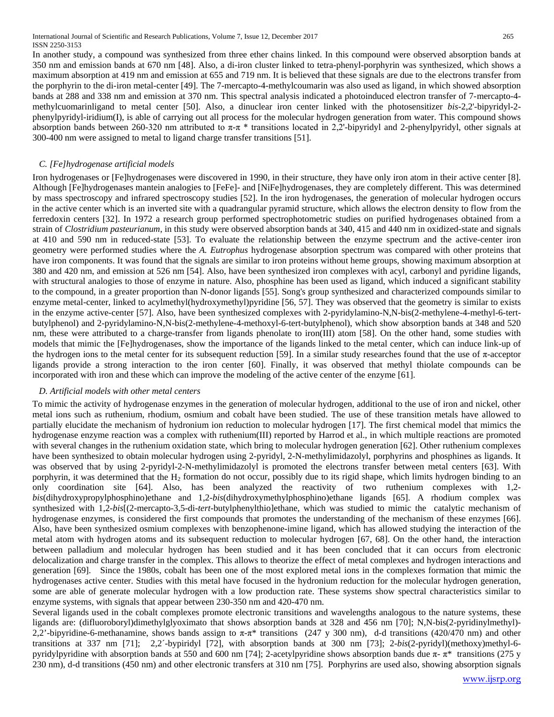International Journal of Scientific and Research Publications, Volume 7, Issue 12, December 2017 265 ISSN 2250-3153

In another study, a compound was synthesized from three ether chains linked. In this compound were observed absorption bands at 350 nm and emission bands at 670 nm [48]. Also, a di-iron cluster linked to tetra-phenyl-porphyrin was synthesized, which shows a maximum absorption at 419 nm and emission at 655 and 719 nm. It is believed that these signals are due to the electrons transfer from the porphyrin to the di-iron metal-center [49]. The 7-mercapto-4-methylcoumarin was also used as ligand, in which showed absorption bands at 288 and 338 nm and emission at 370 nm. This spectral analysis indicated a photoinduced electron transfer of 7-mercapto-4 methylcuomarinligand to metal center [50]. Also, a dinuclear iron center linked with the photosensitizer *bis*-2,2'-bipyridyl-2 phenylpyridyl-iridium(I), is able of carrying out all process for the molecular hydrogen generation from water. This compound shows absorption bands between 260-320 nm attributed to  $\pi$ -π \* transitions located in 2,2'-bipyridyl and 2-phenylpyridyl, other signals at 300-400 nm were assigned to metal to ligand charge transfer transitions [51].

# *C. [Fe]hydrogenase artificial models*

Iron hydrogenases or [Fe]hydrogenases were discovered in 1990, in their structure, they have only iron atom in their active center [8]. Although [Fe]hydrogenases mantein analogies to [FeFe]- and [NiFe]hydrogenases, they are completely different. This was determined by mass spectroscopy and infrared spectroscopy studies [52]. In the iron hydrogenases, the generation of molecular hydrogen occurs in the active center which is an inverted site with a quadrangular pyramid structure, which allows the electron density to flow from the ferredoxin centers [32]. In 1972 a research group performed spectrophotometric studies on purified hydrogenases obtained from a strain of *Clostridium pasteurianum*, in this study were observed absorption bands at 340, 415 and 440 nm in oxidized-state and signals at 410 and 590 nm in reduced-state [53]. To evaluate the relationship between the enzyme spectrum and the active-center iron geometry were performed studies where the *A. Eutrophus* hydrogenase absorption spectrum was compared with other proteins that have iron components. It was found that the signals are similar to iron proteins without heme groups, showing maximum absorption at 380 and 420 nm, and emission at 526 nm [54]. Also, have been synthesized iron complexes with acyl, carbonyl and pyridine ligands, with structural analogies to those of enzyme in nature. Also, phosphine has been used as ligand, which induced a significant stability to the compound, in a greater proportion than N-donor ligands [55]. Song's group synthesized and characterized compounds similar to enzyme metal-center, linked to acylmethyl(hydroxymethyl)pyridine [56, 57]. They was observed that the geometry is similar to exists in the enzyme active-center [57]. Also, have been synthesized complexes with 2-pyridylamino-N,N-bis(2-methylene-4-methyl-6-tertbutylphenol) and 2-pyridylamino-N,N-bis(2-methylene-4-methoxyl-6-tert-butylphenol), which show absorption bands at 348 and 520 nm, these were attributed to a charge-transfer from ligands phenolate to iron(III) atom [58]. On the other hand, some studies with models that mimic the [Fe]hydrogenases, show the importance of the ligands linked to the metal center, which can induce link-up of the hydrogen ions to the metal center for its subsequent reduction [59]. In a similar study researches found that the use of π-acceptor ligands provide a strong interaction to the iron center [60]. Finally, it was observed that methyl thiolate compounds can be incorporated with iron and these which can improve the modeling of the active center of the enzyme [61].

# *D. Artificial models with other metal centers*

To mimic the activity of hydrogenase enzymes in the generation of molecular hydrogen, additional to the use of iron and nickel, other metal ions such as ruthenium, rhodium, osmium and cobalt have been studied. The use of these transition metals have allowed to partially elucidate the mechanism of hydronium ion reduction to molecular hydrogen [17]. The first chemical model that mimics the hydrogenase enzyme reaction was a complex with ruthenium(III) reported by Harrod et al., in which multiple reactions are promoted with several changes in the ruthenium oxidation state, which bring to molecular hydrogen generation [62]. Other ruthenium complexes have been synthesized to obtain molecular hydrogen using 2-pyridyl, 2-N-methylimidazolyl, porphyrins and phosphines as ligands. It was observed that by using 2-pyridyl-2-N-methylimidazolyl is promoted the electrons transfer between metal centers [63]. With porphyrin, it was determined that the H<sub>2</sub> formation do not occur, possibly due to its rigid shape, which limits hydrogen binding to an only coordination site [64]. Also, has been analyzed the reactivity of two ruthenium complexes with 1,2 *bis*(dihydroxypropylphosphino)ethane and 1,2-*bis*(dihydroxymethylphosphino)ethane ligands [65]. A rhodium complex was synthesized with 1,2-*bis*[(2-mercapto-3,5-di-*tert*-butylphenylthio]ethane, which was studied to mimic the catalytic mechanism of hydrogenase enzymes, is considered the first compounds that promotes the understanding of the mechanism of these enzymes [66]. Also, have been synthesized osmium complexes with benzophenone-imine ligand, which has allowed studying the interaction of the metal atom with hydrogen atoms and its subsequent reduction to molecular hydrogen [67, 68]. On the other hand, the interaction between palladium and molecular hydrogen has been studied and it has been concluded that it can occurs from electronic delocalization and charge transfer in the complex. This allows to theorize the effect of metal complexes and hydrogen interactions and generation [69]. Since the 1980s, cobalt has been one of the most explored metal ions in the complexes formation that mimic the hydrogenases active center. Studies with this metal have focused in the hydronium reduction for the molecular hydrogen generation, some are able of generate molecular hydrogen with a low production rate. These systems show spectral characteristics similar to enzyme systems, with signals that appear between 230-350 nm and 420-470 nm.

Several ligands used in the cobalt complexes promote electronic transitions and wavelengths analogous to the nature systems, these ligands are: (difluoroboryl)dimethylglyoximato that shows absorption bands at 328 and 456 nm [70]; N,N-bis(2-pyridinylmethyl)- 2,2'-bipyridine-6-methanamine, shows bands assign to  $\pi$ - $\pi$ \* transitions (247 y 300 nm), d-d transitions (420/470 nm) and other transitions at 337 nm [71]; 2,2´-bypiridyl [72], with absorption bands at 300 nm [73]; 2-*bis*(2-pyridyl)(methoxy)methyl-6 pyridylpyridine with absorption bands at 550 and 600 nm [74]; 2-acetylpyridine shows absorption bands due  $\pi$ -  $\pi$ <sup>\*</sup> transitions (275 y 230 nm), d-d transitions (450 nm) and other electronic transfers at 310 nm [75]. Porphyrins are used also, showing absorption signals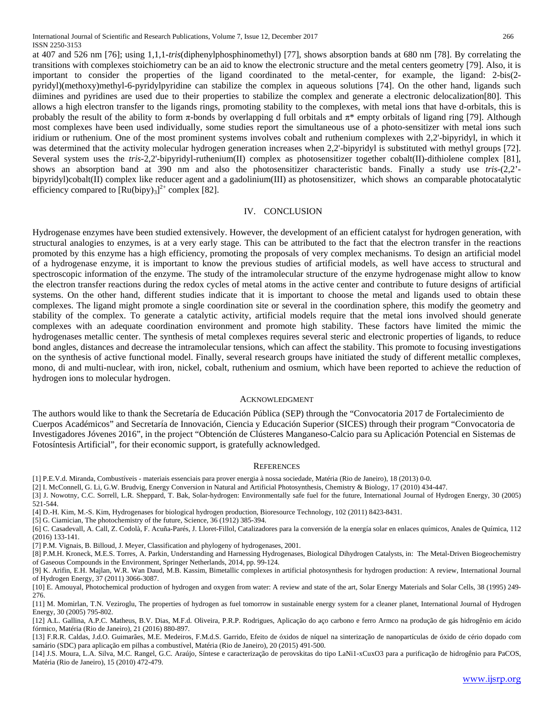at 407 and 526 nm [76]; using 1,1,1-*tris*(diphenylphosphinomethyl) [77], shows absorption bands at 680 nm [78]. By correlating the transitions with complexes stoichiometry can be an aid to know the electronic structure and the metal centers geometry [79]. Also, it is important to consider the properties of the ligand coordinated to the metal-center, for example, the ligand: 2-bis(2 pyridyl)(methoxy)methyl-6-pyridylpyridine can stabilize the complex in aqueous solutions [74]. On the other hand, ligands such diimines and pyridines are used due to their properties to stabilize the complex and generate a electronic delocalization[80]. This allows a high electron transfer to the ligands rings, promoting stability to the complexes, with metal ions that have d-orbitals, this is probably the result of the ability to form  $\pi$ -bonds by overlapping d full orbitals and  $\pi^*$  empty orbitals of ligand ring [79]. Although most complexes have been used individually, some studies report the simultaneous use of a photo-sensitizer with metal ions such iridium or ruthenium. One of the most prominent systems involves cobalt and ruthenium complexes with 2,2'-bipyridyl, in which it was determined that the activity molecular hydrogen generation increases when 2,2'-bipyridyl is substituted with methyl groups [72]. Several system uses the *tris*-2,2'-bipyridyl-ruthenium(II) complex as photosensitizer together cobalt(II)-dithiolene complex [81], shows an absorption band at 390 nm and also the photosensitizer characteristic bands. Finally a study use *tris*-(2,2' bipyridyl)cobalt(II) complex like reducer agent and a gadolinium(III) as photosensitizer, which shows an comparable photocatalytic efficiency compared to  $[Ru(bipy)_3]^2$  complex [82].

# IV. CONCLUSION

Hydrogenase enzymes have been studied extensively. However, the development of an efficient catalyst for hydrogen generation, with structural analogies to enzymes, is at a very early stage. This can be attributed to the fact that the electron transfer in the reactions promoted by this enzyme has a high efficiency, promoting the proposals of very complex mechanisms. To design an artificial model of a hydrogenase enzyme, it is important to know the previous studies of artificial models, as well have access to structural and spectroscopic information of the enzyme. The study of the intramolecular structure of the enzyme hydrogenase might allow to know the electron transfer reactions during the redox cycles of metal atoms in the active center and contribute to future designs of artificial systems. On the other hand, different studies indicate that it is important to choose the metal and ligands used to obtain these complexes. The ligand might promote a single coordination site or several in the coordination sphere, this modify the geometry and stability of the complex. To generate a catalytic activity, artificial models require that the metal ions involved should generate complexes with an adequate coordination environment and promote high stability. These factors have limited the mimic the hydrogenases metallic center. The synthesis of metal complexes requires several steric and electronic properties of ligands, to reduce bond angles, distances and decrease the intramolecular tensions, which can affect the stability. This promote to focusing investigations on the synthesis of active functional model. Finally, several research groups have initiated the study of different metallic complexes, mono, di and multi-nuclear, with iron, nickel, cobalt, ruthenium and osmium, which have been reported to achieve the reduction of hydrogen ions to molecular hydrogen.

## ACKNOWLEDGMENT

The authors would like to thank the Secretaría de Educación Pública (SEP) through the "Convocatoria 2017 de Fortalecimiento de Cuerpos Académicos" and Secretaría de Innovación, Ciencia y Educación Superior (SICES) through their program "Convocatoria de Investigadores Jóvenes 2016", in the project "Obtención de Clústeres Manganeso-Calcio para su Aplicación Potencial en Sistemas de Fotosíntesis Artificial", for their economic support, is gratefully acknowledged.

#### **REFERENCES**

[1] P.E.V.d. Miranda, Combustíveis - materiais essenciais para prover energia à nossa sociedade, Matéria (Rio de Janeiro), 18 (2013) 0-0.

[2] I. McConnell, G. Li, G.W. Brudvig, Energy Conversion in Natural and Artificial Photosynthesis, Chemistry & Biology, 17 (2010) 434-447.

[3] J. Nowotny, C.C. Sorrell, L.R. Sheppard, T. Bak, Solar-hydrogen: Environmentally safe fuel for the future, International Journal of Hydrogen Energy, 30 (2005) 521-544.

[4] D.-H. Kim, M.-S. Kim, Hydrogenases for biological hydrogen production, Bioresource Technology, 102 (2011) 8423-8431.

[5] G. Ciamician, The photochemistry of the future, Science, 36 (1912) 385-394.

[6] C. Casadevall, A. Call, Z. Codolà, F. Acuña-Parés, J. Lloret-Fillol, Catalizadores para la conversión de la energía solar en enlaces químicos, Anales de Química, 112 (2016) 133-141.

[7] P.M. Vignais, B. Billoud, J. Meyer, Classification and phylogeny of hydrogenases, 2001.

[8] P.M.H. Kroneck, M.E.S. Torres, A. Parkin, Understanding and Harnessing Hydrogenases, Biological Dihydrogen Catalysts, in: The Metal-Driven Biogeochemistry of Gaseous Compounds in the Environment, Springer Netherlands, 2014, pp. 99-124.

[9] K. Arifin, E.H. Majlan, W.R. Wan Daud, M.B. Kassim, Bimetallic complexes in artificial photosynthesis for hydrogen production: A review, International Journal of Hydrogen Energy, 37 (2011) 3066-3087.

[10] E. Amouyal, Photochemical production of hydrogen and oxygen from water: A review and state of the art, Solar Energy Materials and Solar Cells, 38 (1995) 249- 276.

[11] M. Momirlan, T.N. Veziroglu, The properties of hydrogen as fuel tomorrow in sustainable energy system for a cleaner planet, International Journal of Hydrogen Energy, 30 (2005) 795-802.

[12] A.L. Gallina, A.P.C. Matheus, B.V. Dias, M.F.d. Oliveira, P.R.P. Rodrigues, Aplicação do aço carbono e ferro Armco na produção de gás hidrogênio em ácido fórmico, Matéria (Rio de Janeiro), 21 (2016) 880-897.

[13] F.R.R. Caldas, J.d.O. Guimarães, M.E. Medeiros, F.M.d.S. Garrido, Efeito de óxidos de níquel na sinterização de nanopartículas de óxido de cério dopado com samário (SDC) para aplicação em pilhas a combustível, Matéria (Rio de Janeiro), 20 (2015) 491-500.

[14] J.S. Moura, L.A. Silva, M.C. Rangel, G.C. Araújo, Síntese e caracterização de perovskitas do tipo LaNi1-xCuxO3 para a purificação de hidrogênio para PaCOS, Matéria (Rio de Janeiro), 15 (2010) 472-479.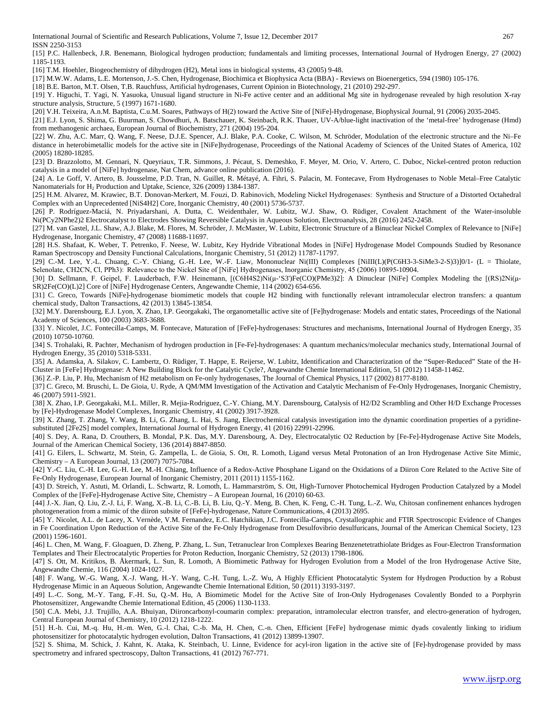International Journal of Scientific and Research Publications, Volume 7, Issue 12, December 2017 267 ISSN 2250-3153

[15] P.C. Hallenbeck, J.R. Benemann, Biological hydrogen production; fundamentals and limiting processes, International Journal of Hydrogen Energy, 27 (2002) 1185-1193.

[16] T.M. Hoehler, Biogeochemistry of dihydrogen (H2), Metal ions in biological systems, 43 (2005) 9-48.

[17] M.W.W. Adams, L.E. Mortenson, J.-S. Chen, Hydrogenase, Biochimica et Biophysica Acta (BBA) - Reviews on Bioenergetics, 594 (1980) 105-176.

[18] B.E. Barton, M.T. Olsen, T.B. Rauchfuss, Artificial hydrogenases, Current Opinion in Biotechnology, 21 (2010) 292-297.

[19] Y. Higuchi, T. Yagi, N. Yasuoka, Unusual ligand structure in Ni-Fe active center and an additional Mg site in hydrogenase revealed by high resolution X-ray structure analysis, Structure, 5 (1997) 1671-1680.

[20] V.H. Teixeira, A.n.M. Baptista, C.u.M. Soares, Pathways of H(2) toward the Active Site of [NiFe]-Hydrogenase, Biophysical Journal, 91 (2006) 2035-2045.

[21] E.J. Lyon, S. Shima, G. Buurman, S. Chowdhuri, A. Batschauer, K. Steinbach, R.K. Thauer, UV-A/blue-light inactivation of the 'metal-free' hydrogenase (Hmd) from methanogenic archaea, European Journal of Biochemistry, 271 (2004) 195-204.

[22] W. Zhu, A.C. Marr, Q. Wang, F. Neese, D.J.E. Spencer, A.J. Blake, P.A. Cooke, C. Wilson, M. Schröder, Modulation of the electronic structure and the Ni–Fe distance in heterobimetallic models for the active site in [NiFe]hydrogenase, Proceedings of the National Academy of Sciences of the United States of America, 102 (2005) 18280-18285.

[23] D. Brazzolotto, M. Gennari, N. Queyriaux, T.R. Simmons, J. Pécaut, S. Demeshko, F. Meyer, M. Orio, V. Artero, C. Duboc, Nickel-centred proton reduction catalysis in a model of [NiFe] hydrogenase, Nat Chem, advance online publication (2016).

[24] A. Le Goff, V. Artero, B. Jousselme, P.D. Tran, N. Guillet, R. Métayé, A. Fihri, S. Palacin, M. Fontecave, From Hydrogenases to Noble Metal–Free Catalytic Nanomaterials for H<sub>2</sub> Production and Uptake, Science, 326 (2009) 1384-1387.

[25] H.M. Alvarez, M. Krawiec, B.T. Donovan-Merkert, M. Fouzi, D. Rabinovich, Modeling Nickel Hydrogenases:  Synthesis and Structure of a Distorted Octahedral Complex with an Unprecedented [NiS4H2] Core, Inorganic Chemistry, 40 (2001) 5736-5737.

[26] P. Rodríguez-Maciá, N. Priyadarshani, A. Dutta, C. Weidenthaler, W. Lubitz, W.J. Shaw, O. Rüdiger, Covalent Attachment of the Water-insoluble Ni(PCy2NPhe2)2 Electrocatalyst to Electrodes Showing Reversible Catalysis in Aqueous Solution, Electroanalysis, 28 (2016) 2452-2458.

[27] M. van Gastel, J.L. Shaw, A.J. Blake, M. Flores, M. Schröder, J. McMaster, W. Lubitz, Electronic Structure of a Binuclear Nickel Complex of Relevance to [NiFe] Hydrogenase, Inorganic Chemistry, 47 (2008) 11688-11697.

[28] H.S. Shafaat, K. Weber, T. Petrenko, F. Neese, W. Lubitz, Key Hydride Vibrational Modes in [NiFe] Hydrogenase Model Compounds Studied by Resonance Raman Spectroscopy and Density Functional Calculations, Inorganic Chemistry, 51 (2012) 11787-11797.

[29] C.-M. Lee, Y.-L. Chuang, C.-Y. Chiang, G.-H. Lee, W.-F. Liaw, Mononuclear Ni(III) Complexes [NiIII(L)(P(C6H3-3-SiMe3-2-S)3)]0/1- (L = Thiolate, Selenolate, CH2CN, Cl, PPh3):  Relevance to the Nickel Site of [NiFe] Hydrogenases, Inorganic Chemistry, 45 (2006) 10895-10904.

[30] D. Sellmann, F. Geipel, F. Lauderbach, F.W. Heinemann, [(C6H4S2)Ni(μ-'S3')Fe(CO)(PMe3)2]: A Dinuclear [NiFe] Complex Modeling the [(RS)2Ni(μ-SR)2Fe(CO)(L)2] Core of [NiFe] Hydrogenase Centers, Angewandte Chemie, 114 (2002) 654-656.

[31] C. Greco, Towards [NiFe]-hydrogenase biomimetic models that couple H2 binding with functionally relevant intramolecular electron transfers: a quantum chemical study, Dalton Transactions, 42 (2013) 13845-13854.

[32] M.Y. Darensbourg, E.J. Lyon, X. Zhao, I.P. Georgakaki, The organometallic active site of [Fe]hydrogenase: Models and entatic states, Proceedings of the National Academy of Sciences, 100 (2003) 3683-3688.

[33] Y. Nicolet, J.C. Fontecilla-Camps, M. Fontecave, Maturation of [FeFe]-hydrogenases: Structures and mechanisms, International Journal of Hydrogen Energy, 35 (2010) 10750-10760.

[34] S. Trohalaki, R. Pachter, Mechanism of hydrogen production in [Fe-Fe]-hydrogenases: A quantum mechanics/molecular mechanics study, International Journal of Hydrogen Energy, 35 (2010) 5318-5331.

[35] A. Adamska, A. Silakov, C. Lambertz, O. Rüdiger, T. Happe, E. Reijerse, W. Lubitz, Identification and Characterization of the "Super-Reduced" State of the H-Cluster in [FeFe] Hydrogenase: A New Building Block for the Catalytic Cycle?, Angewandte Chemie International Edition, 51 (2012) 11458-11462.

[36] Z.-P. Liu, P. Hu, Mechanism of H2 metabolism on Fe-only hydrogenases, The Journal of Chemical Physics, 117 (2002) 8177-8180.

[37] C. Greco, M. Bruschi, L. De Gioia, U. Ryde, A QM/MM Investigation of the Activation and Catalytic Mechanism of Fe-Only Hydrogenases, Inorganic Chemistry, 46 (2007) 5911-5921.

[38] X. Zhao, I.P. Georgakaki, M.L. Miller, R. Mejia-Rodriguez, C.-Y. Chiang, M.Y. Darensbourg, Catalysis of H2/D2 Scrambling and Other H/D Exchange Processes by [Fe]-Hydrogenase Model Complexes, Inorganic Chemistry, 41 (2002) 3917-3928.

[39] X. Zhang, T. Zhang, Y. Wang, B. Li, G. Zhang, L. Hai, S. Jiang, Electrochemical catalysis investigation into the dynamic coordination properties of a pyridinesubstituted [2Fe2S] model complex, International Journal of Hydrogen Energy, 41 (2016) 22991-22996.

[40] S. Dey, A. Rana, D. Crouthers, B. Mondal, P.K. Das, M.Y. Darensbourg, A. Dey, Electrocatalytic O2 Reduction by [Fe-Fe]-Hydrogenase Active Site Models, Journal of the American Chemical Society, 136 (2014) 8847-8850.

[41] G. Eilers, L. Schwartz, M. Stein, G. Zampella, L. de Gioia, S. Ott, R. Lomoth, Ligand versus Metal Protonation of an Iron Hydrogenase Active Site Mimic, Chemistry – A European Journal, 13 (2007) 7075-7084.

[42] Y.-C. Liu, C.-H. Lee, G.-H. Lee, M.-H. Chiang, Influence of a Redox-Active Phosphane Ligand on the Oxidations of a Diiron Core Related to the Active Site of Fe-Only Hydrogenase, European Journal of Inorganic Chemistry, 2011 (2011) 1155-1162.

[43] D. Streich, Y. Astuti, M. Orlandi, L. Schwartz, R. Lomoth, L. Hammarström, S. Ott, High-Turnover Photochemical Hydrogen Production Catalyzed by a Model Complex of the [FeFe]-Hydrogenase Active Site, Chemistry – A European Journal, 16 (2010) 60-63.

[44] J.-X. Jian, Q. Liu, Z.-J. Li, F. Wang, X.-B. Li, C.-B. Li, B. Liu, Q.-Y. Meng, B. Chen, K. Feng, C.-H. Tung, L.-Z. Wu, Chitosan confinement enhances hydrogen photogeneration from a mimic of the diiron subsite of [FeFe]-hydrogenase, Nature Communications, 4 (2013) 2695.

[45] Y. Nicolet, A.L. de Lacey, X. Vernède, V.M. Fernandez, E.C. Hatchikian, J.C. Fontecilla-Camps, Crystallographic and FTIR Spectroscopic Evidence of Changes in Fe Coordination Upon Reduction of the Active Site of the Fe-Only Hydrogenase from Desulfovibrio desulfuricans, Journal of the American Chemical Society, 123 (2001) 1596-1601.

[46] L. Chen, M. Wang, F. Gloaguen, D. Zheng, P. Zhang, L. Sun, Tetranuclear Iron Complexes Bearing Benzenetetrathiolate Bridges as Four-Electron Transformation Templates and Their Electrocatalytic Properties for Proton Reduction, Inorganic Chemistry, 52 (2013) 1798-1806.

[47] S. Ott, M. Kritikos, B. Åkermark, L. Sun, R. Lomoth, A Biomimetic Pathway for Hydrogen Evolution from a Model of the Iron Hydrogenase Active Site, Angewandte Chemie, 116 (2004) 1024-1027.

[48] F. Wang, W.-G. Wang, X.-J. Wang, H.-Y. Wang, C.-H. Tung, L.-Z. Wu, A Highly Efficient Photocatalytic System for Hydrogen Production by a Robust Hydrogenase Mimic in an Aqueous Solution, Angewandte Chemie International Edition, 50 (2011) 3193-3197.

[49] L.-C. Song, M.-Y. Tang, F.-H. Su, Q.-M. Hu, A Biomimetic Model for the Active Site of Iron-Only Hydrogenases Covalently Bonded to a Porphyrin Photosensitizer, Angewandte Chemie International Edition, 45 (2006) 1130-1133.

[50] C.A. Mebi, J.J. Trujillo, A.A. Bhuiyan, Diironcarbonyl-coumarin complex: preparation, intramolecular electron transfer, and electro-generation of hydrogen, Central European Journal of Chemistry, 10 (2012) 1218-1222.

[51] H.-h. Cui, M.-q. Hu, H.-m. Wen, G.-l. Chai, C.-b. Ma, H. Chen, C.-n. Chen, Efficient [FeFe] hydrogenase mimic dyads covalently linking to iridium photosensitizer for photocatalytic hydrogen evolution, Dalton Transactions, 41 (2012) 13899-13907.

[52] S. Shima, M. Schick, J. Kahnt, K. Ataka, K. Steinbach, U. Linne, Evidence for acyl-iron ligation in the active site of [Fe]-hydrogenase provided by mass spectrometry and infrared spectroscopy, Dalton Transactions, 41 (2012) 767-771.